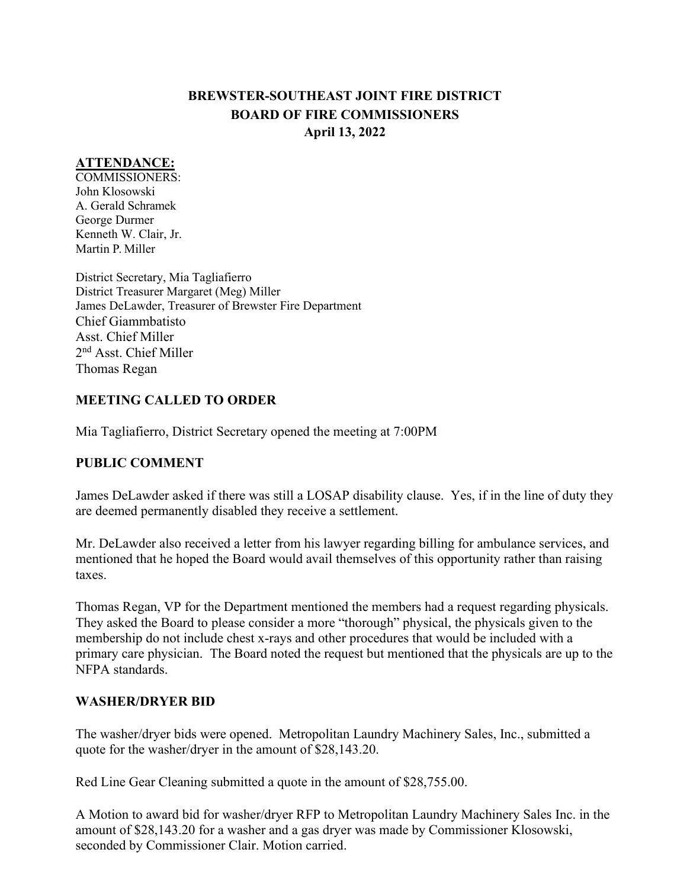# **BREWSTER-SOUTHEAST JOINT FIRE DISTRICT BOARD OF FIRE COMMISSIONERS April 13, 2022**

### **ATTENDANCE:**

COMMISSIONERS: John Klosowski A. Gerald Schramek George Durmer Kenneth W. Clair, Jr. Martin P. Miller

District Secretary, Mia Tagliafierro District Treasurer Margaret (Meg) Miller James DeLawder, Treasurer of Brewster Fire Department Chief Giammbatisto Asst. Chief Miller 2nd Asst. Chief Miller Thomas Regan

# **MEETING CALLED TO ORDER**

Mia Tagliafierro, District Secretary opened the meeting at 7:00PM

### **PUBLIC COMMENT**

James DeLawder asked if there was still a LOSAP disability clause. Yes, if in the line of duty they are deemed permanently disabled they receive a settlement.

Mr. DeLawder also received a letter from his lawyer regarding billing for ambulance services, and mentioned that he hoped the Board would avail themselves of this opportunity rather than raising taxes.

Thomas Regan, VP for the Department mentioned the members had a request regarding physicals. They asked the Board to please consider a more "thorough" physical, the physicals given to the membership do not include chest x-rays and other procedures that would be included with a primary care physician. The Board noted the request but mentioned that the physicals are up to the NFPA standards.

### **WASHER/DRYER BID**

The washer/dryer bids were opened. Metropolitan Laundry Machinery Sales, Inc., submitted a quote for the washer/dryer in the amount of \$28,143.20.

Red Line Gear Cleaning submitted a quote in the amount of \$28,755.00.

A Motion to award bid for washer/dryer RFP to Metropolitan Laundry Machinery Sales Inc. in the amount of \$28,143.20 for a washer and a gas dryer was made by Commissioner Klosowski, seconded by Commissioner Clair. Motion carried.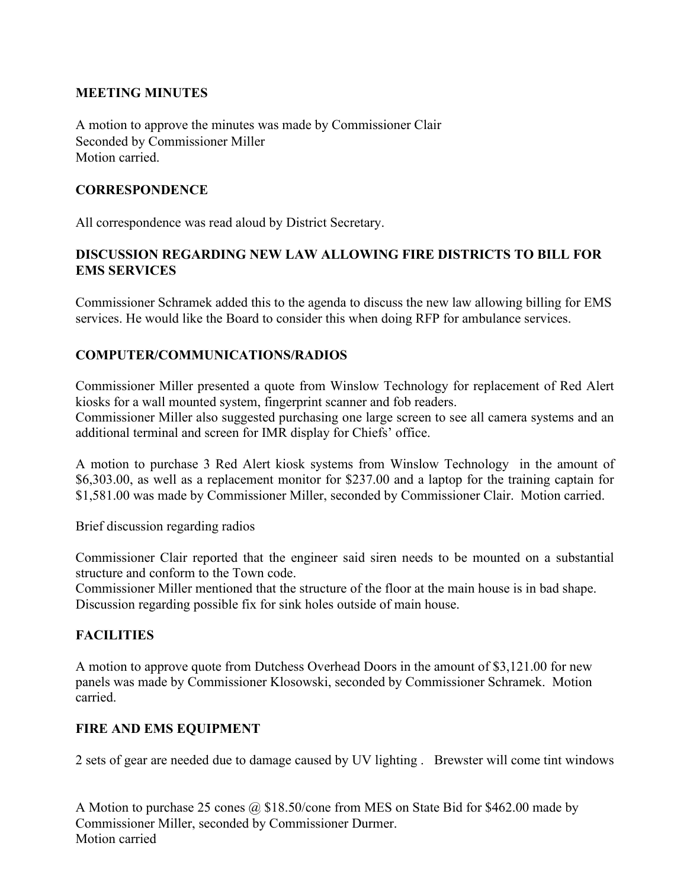### **MEETING MINUTES**

A motion to approve the minutes was made by Commissioner Clair Seconded by Commissioner Miller Motion carried.

#### **CORRESPONDENCE**

All correspondence was read aloud by District Secretary.

### **DISCUSSION REGARDING NEW LAW ALLOWING FIRE DISTRICTS TO BILL FOR EMS SERVICES**

Commissioner Schramek added this to the agenda to discuss the new law allowing billing for EMS services. He would like the Board to consider this when doing RFP for ambulance services.

### **COMPUTER/COMMUNICATIONS/RADIOS**

Commissioner Miller presented a quote from Winslow Technology for replacement of Red Alert kiosks for a wall mounted system, fingerprint scanner and fob readers.

Commissioner Miller also suggested purchasing one large screen to see all camera systems and an additional terminal and screen for IMR display for Chiefs' office.

A motion to purchase 3 Red Alert kiosk systems from Winslow Technology in the amount of \$6,303.00, as well as a replacement monitor for \$237.00 and a laptop for the training captain for \$1,581.00 was made by Commissioner Miller, seconded by Commissioner Clair. Motion carried.

Brief discussion regarding radios

Commissioner Clair reported that the engineer said siren needs to be mounted on a substantial structure and conform to the Town code.

Commissioner Miller mentioned that the structure of the floor at the main house is in bad shape. Discussion regarding possible fix for sink holes outside of main house.

### **FACILITIES**

A motion to approve quote from Dutchess Overhead Doors in the amount of \$3,121.00 for new panels was made by Commissioner Klosowski, seconded by Commissioner Schramek. Motion carried.

### **FIRE AND EMS EQUIPMENT**

2 sets of gear are needed due to damage caused by UV lighting . Brewster will come tint windows

A Motion to purchase 25 cones @ \$18.50/cone from MES on State Bid for \$462.00 made by Commissioner Miller, seconded by Commissioner Durmer. Motion carried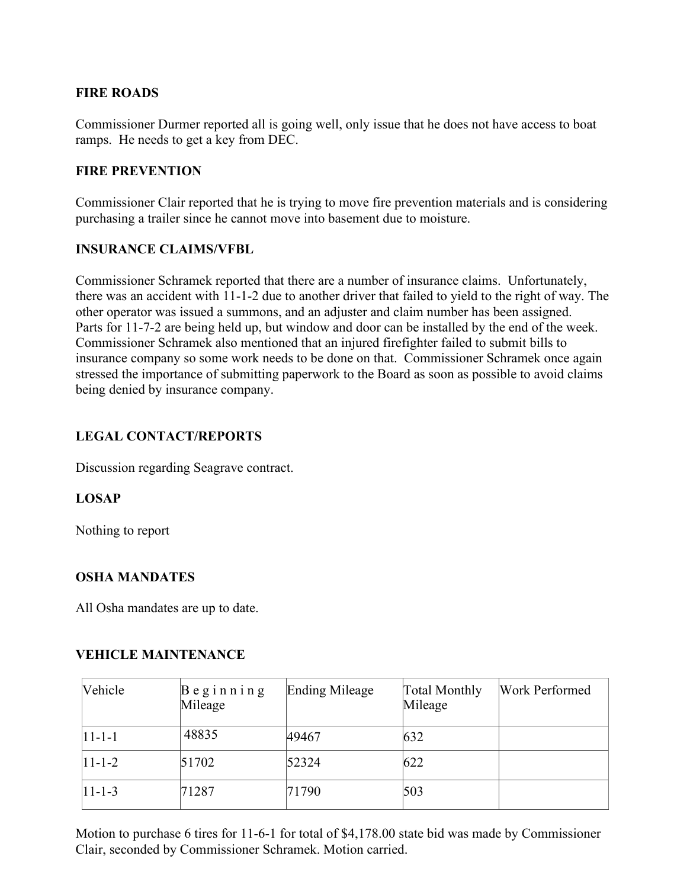### **FIRE ROADS**

Commissioner Durmer reported all is going well, only issue that he does not have access to boat ramps. He needs to get a key from DEC.

#### **FIRE PREVENTION**

Commissioner Clair reported that he is trying to move fire prevention materials and is considering purchasing a trailer since he cannot move into basement due to moisture.

### **INSURANCE CLAIMS/VFBL**

Commissioner Schramek reported that there are a number of insurance claims. Unfortunately, there was an accident with 11-1-2 due to another driver that failed to yield to the right of way. The other operator was issued a summons, and an adjuster and claim number has been assigned. Parts for 11-7-2 are being held up, but window and door can be installed by the end of the week. Commissioner Schramek also mentioned that an injured firefighter failed to submit bills to insurance company so some work needs to be done on that. Commissioner Schramek once again stressed the importance of submitting paperwork to the Board as soon as possible to avoid claims being denied by insurance company.

### **LEGAL CONTACT/REPORTS**

Discussion regarding Seagrave contract.

### **LOSAP**

Nothing to report

#### **OSHA MANDATES**

All Osha mandates are up to date.

#### **VEHICLE MAINTENANCE**

| <b>Vehicle</b> | $B$ eginning<br>Mileage | Ending Mileage | Total Monthly<br>Mileage | <b>Work Performed</b> |
|----------------|-------------------------|----------------|--------------------------|-----------------------|
| $ 11 - 1 - 1 $ | 48835                   | 49467          | 632                      |                       |
| $11 - 1 - 2$   | 51702                   | 52324          | 622                      |                       |
| $11 - 1 - 3$   | 71287                   | 71790          | 503                      |                       |

Motion to purchase 6 tires for 11-6-1 for total of \$4,178.00 state bid was made by Commissioner Clair, seconded by Commissioner Schramek. Motion carried.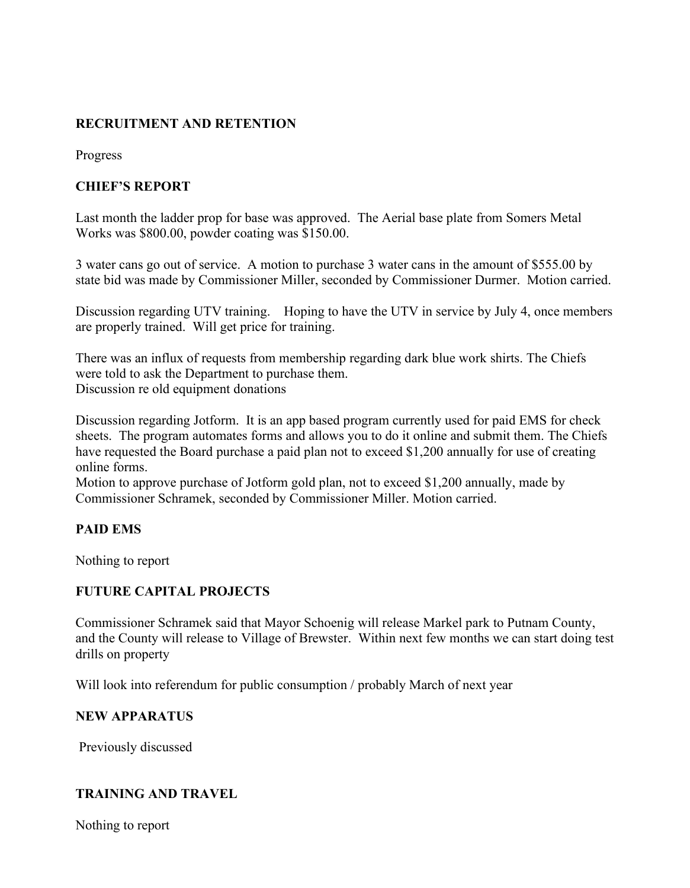# **RECRUITMENT AND RETENTION**

Progress

# **CHIEF'S REPORT**

Last month the ladder prop for base was approved. The Aerial base plate from Somers Metal Works was \$800.00, powder coating was \$150.00.

3 water cans go out of service. A motion to purchase 3 water cans in the amount of \$555.00 by state bid was made by Commissioner Miller, seconded by Commissioner Durmer. Motion carried.

Discussion regarding UTV training. Hoping to have the UTV in service by July 4, once members are properly trained. Will get price for training.

There was an influx of requests from membership regarding dark blue work shirts. The Chiefs were told to ask the Department to purchase them. Discussion re old equipment donations

Discussion regarding Jotform. It is an app based program currently used for paid EMS for check sheets. The program automates forms and allows you to do it online and submit them. The Chiefs have requested the Board purchase a paid plan not to exceed \$1,200 annually for use of creating online forms.

Motion to approve purchase of Jotform gold plan, not to exceed \$1,200 annually, made by Commissioner Schramek, seconded by Commissioner Miller. Motion carried.

### **PAID EMS**

Nothing to report

### **FUTURE CAPITAL PROJECTS**

Commissioner Schramek said that Mayor Schoenig will release Markel park to Putnam County, and the County will release to Village of Brewster. Within next few months we can start doing test drills on property

Will look into referendum for public consumption / probably March of next year

### **NEW APPARATUS**

Previously discussed

### **TRAINING AND TRAVEL**

Nothing to report